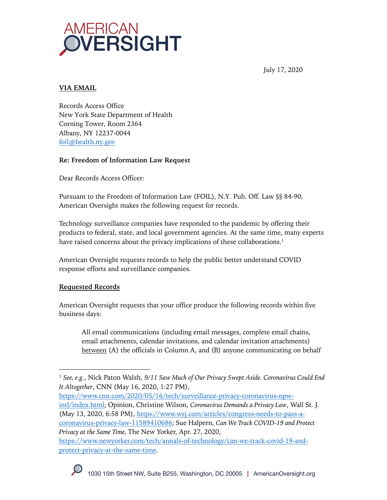

July 17, 2020

# **VIA EMAIL**

Records Access Office New York State Department of Health Corning Tower, Room 2364 Albany, NY 12237-0044 foil@health.ny.gov

## **Re: Freedom of Information Law Request**

Dear Records Access Officer:

Pursuant to the Freedom of Information Law (FOIL), N.Y. Pub. Off. Law §§ 84-90, American Oversight makes the following request for records.

Technology surveillance companies have responded to the pandemic by offering their products to federal, state, and local government agencies. At the same time, many experts have raised concerns about the privacy implications of these collaborations.<sup>1</sup>

American Oversight requests records to help the public better understand COVID response efforts and surveillance companies.

## **Requested Records**

American Oversight requests that your office produce the following records within five business days:

All email communications (including email messages, complete email chains, email attachments, calendar invitations, and calendar invitation attachments) between (A) the officials in Column A, and (B) anyone communicating on behalf

https://www.cnn.com/2020/05/16/tech/surveillance-privacy-coronavirus-npwintl/index.html; Opinion, Christine Wilson, *Coronavirus Demands a Privacy Law*, Wall St. J. (May 13, 2020, 6:58 PM), https://www.wsj.com/articles/congress-needs-to-pass-acoronavirus-privacy-law-11589410686; Sue Halpern, *Can We Track COVID-19 and Protect Privacy at the Same Time,* The New Yorker, Apr. 27, 2020,

https://www.newyorker.com/tech/annals-of-technology/can-we-track-covid-19-andprotect-privacy-at-the-same-time.

<sup>1</sup> *See, e.g.*, Nick Paton Walsh, *9/11 Saw Much of Our Privacy Swept Aside. Coronavirus Could End It Altogether*, CNN (May 16, 2020, 1:27 PM),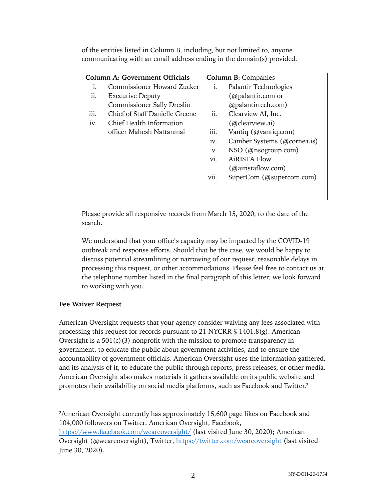of the entities listed in Column B, including, but not limited to, anyone communicating with an email address ending in the domain(s) provided.

| <b>Column A: Government Officials</b> |                                   | <b>Column B: Companies</b> |                             |
|---------------------------------------|-----------------------------------|----------------------------|-----------------------------|
| i.                                    | Commissioner Howard Zucker        | i.                         | Palantir Technologies       |
| $\overline{\mathbf{u}}$ .             | <b>Executive Deputy</b>           |                            | (@palantir.com or           |
|                                       | <b>Commissioner Sally Dreslin</b> |                            | @palantirtech.com)          |
| iii.                                  | Chief of Staff Danielle Greene    | ii.                        | Clearview AI, Inc.          |
| iv.                                   | Chief Health Information          |                            | (@clearview.ai)             |
|                                       | officer Mahesh Nattanmai          | iii.                       | Vantiq (@vantiq.com)        |
|                                       |                                   | iv.                        | Camber Systems (@cornea.is) |
|                                       |                                   | V.                         | NSO (@nsogroup.com)         |
|                                       |                                   | vi.                        | <b>AiRISTA Flow</b>         |
|                                       |                                   |                            | (Qairistaflow.com)          |
|                                       |                                   | vii.                       | SuperCom (@supercom.com)    |
|                                       |                                   |                            |                             |
|                                       |                                   |                            |                             |

Please provide all responsive records from March 15, 2020, to the date of the search.

We understand that your office's capacity may be impacted by the COVID-19 outbreak and response efforts. Should that be the case, we would be happy to discuss potential streamlining or narrowing of our request, reasonable delays in processing this request, or other accommodations. Please feel free to contact us at the telephone number listed in the final paragraph of this letter; we look forward to working with you.

## **Fee Waiver Request**

American Oversight requests that your agency consider waiving any fees associated with processing this request for records pursuant to 21 NYCRR § 1401.8(g). American Oversight is a  $501(c)(3)$  nonprofit with the mission to promote transparency in government, to educate the public about government activities, and to ensure the accountability of government officials. American Oversight uses the information gathered, and its analysis of it, to educate the public through reports, press releases, or other media. American Oversight also makes materials it gathers available on its public website and promotes their availability on social media platforms, such as Facebook and Twitter.2

<sup>&</sup>lt;sup>2</sup>American Oversight currently has approximately 15,600 page likes on Facebook and 104,000 followers on Twitter. American Oversight, Facebook,

https://www.facebook.com/weareoversight/ (last visited June 30, 2020); American Oversight (@weareoversight), Twitter, https://twitter.com/weareoversight (last visited June 30, 2020).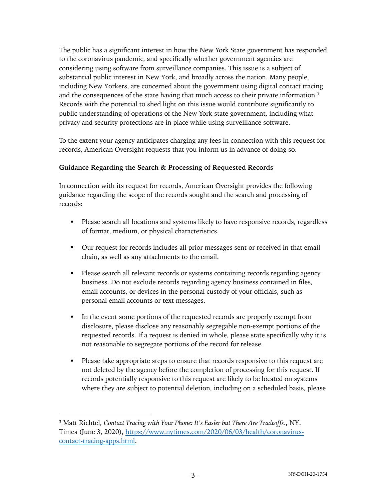The public has a significant interest in how the New York State government has responded to the coronavirus pandemic, and specifically whether government agencies are considering using software from surveillance companies. This issue is a subject of substantial public interest in New York, and broadly across the nation. Many people, including New Yorkers, are concerned about the government using digital contact tracing and the consequences of the state having that much access to their private information.3 Records with the potential to shed light on this issue would contribute significantly to public understanding of operations of the New York state government, including what privacy and security protections are in place while using surveillance software.

To the extent your agency anticipates charging any fees in connection with this request for records, American Oversight requests that you inform us in advance of doing so.

#### **Guidance Regarding the Search & Processing of Requested Records**

In connection with its request for records, American Oversight provides the following guidance regarding the scope of the records sought and the search and processing of records:

- Please search all locations and systems likely to have responsive records, regardless of format, medium, or physical characteristics.
- § Our request for records includes all prior messages sent or received in that email chain, as well as any attachments to the email.
- § Please search all relevant records or systems containing records regarding agency business. Do not exclude records regarding agency business contained in files, email accounts, or devices in the personal custody of your officials, such as personal email accounts or text messages.
- In the event some portions of the requested records are properly exempt from disclosure, please disclose any reasonably segregable non-exempt portions of the requested records. If a request is denied in whole, please state specifically why it is not reasonable to segregate portions of the record for release.
- Please take appropriate steps to ensure that records responsive to this request are not deleted by the agency before the completion of processing for this request. If records potentially responsive to this request are likely to be located on systems where they are subject to potential deletion, including on a scheduled basis, please

<sup>3</sup> Matt Richtel, *Contact Tracing with Your Phone: It's Easier but There Are Tradeoffs*., NY. Times (June 3, 2020), https://www.nytimes.com/2020/06/03/health/coronaviruscontact-tracing-apps.html.